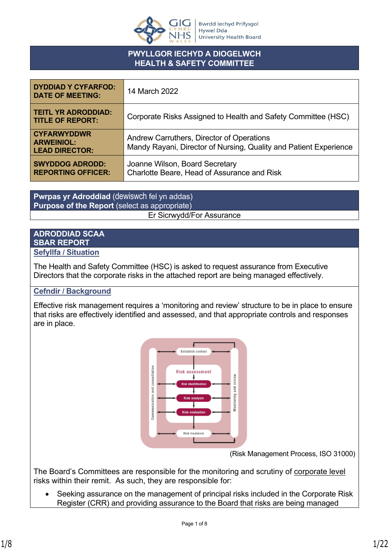

### **PWYLLGOR IECHYD A DIOGELWCH HEALTH & SAFETY COMMITTEE**

| <b>DYDDIAD Y CYFARFOD:</b><br><b>DATE OF MEETING:</b>            | 14 March 2022                                                                                                  |
|------------------------------------------------------------------|----------------------------------------------------------------------------------------------------------------|
| <b>TEITL YR ADRODDIAD:</b><br><b>TITLE OF REPORT:</b>            | Corporate Risks Assigned to Health and Safety Committee (HSC)                                                  |
| <b>CYFARWYDDWR</b><br><b>ARWEINIOL:</b><br><b>LEAD DIRECTOR:</b> | Andrew Carruthers, Director of Operations<br>Mandy Rayani, Director of Nursing, Quality and Patient Experience |
| <b>SWYDDOG ADRODD:</b><br><b>REPORTING OFFICER:</b>              | Joanne Wilson, Board Secretary<br>Charlotte Beare, Head of Assurance and Risk                                  |

**Pwrpas yr Adroddiad** (dewiswch fel yn addas) **Purpose of the Report** (select as appropriate) Er Sicrwydd/For Assurance

# **ADRODDIAD SCAA SBAR REPORT**

#### **Sefyllfa / Situation**

The Health and Safety Committee (HSC) is asked to request assurance from Executive Directors that the corporate risks in the attached report are being managed effectively.

## **Cefndir / Background**

Effective risk management requires a 'monitoring and review' structure to be in place to ensure that risks are effectively identified and assessed, and that appropriate controls and responses are in place.



(Risk Management Process, ISO 31000)

The Board's Committees are responsible for the monitoring and scrutiny of corporate level risks within their remit. As such, they are responsible for:

 Seeking assurance on the management of principal risks included in the Corporate Risk Register (CRR) and providing assurance to the Board that risks are being managed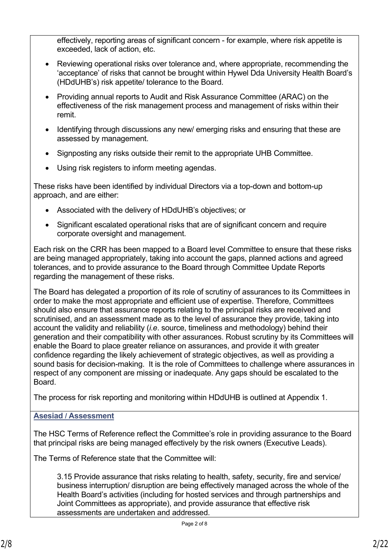effectively, reporting areas of significant concern - for example, where risk appetite is exceeded, lack of action, etc.

- Reviewing operational risks over tolerance and, where appropriate, recommending the 'acceptance' of risks that cannot be brought within Hywel Dda University Health Board's (HDdUHB's) risk appetite/ tolerance to the Board.
- Providing annual reports to Audit and Risk Assurance Committee (ARAC) on the effectiveness of the risk management process and management of risks within their remit.
- Identifying through discussions any new/ emerging risks and ensuring that these are assessed by management.
- Signposting any risks outside their remit to the appropriate UHB Committee.
- Using risk registers to inform meeting agendas.

These risks have been identified by individual Directors via a top-down and bottom-up approach, and are either:

- Associated with the delivery of HDdUHB's objectives; or
- Significant escalated operational risks that are of significant concern and require corporate oversight and management.

Each risk on the CRR has been mapped to a Board level Committee to ensure that these risks are being managed appropriately, taking into account the gaps, planned actions and agreed tolerances, and to provide assurance to the Board through Committee Update Reports regarding the management of these risks.

The Board has delegated a proportion of its role of scrutiny of assurances to its Committees in order to make the most appropriate and efficient use of expertise. Therefore, Committees should also ensure that assurance reports relating to the principal risks are received and scrutinised, and an assessment made as to the level of assurance they provide, taking into account the validity and reliability (*i.e*. source, timeliness and methodology) behind their generation and their compatibility with other assurances. Robust scrutiny by its Committees will enable the Board to place greater reliance on assurances, and provide it with greater confidence regarding the likely achievement of strategic objectives, as well as providing a sound basis for decision-making. It is the role of Committees to challenge where assurances in respect of any component are missing or inadequate. Any gaps should be escalated to the Board.

The process for risk reporting and monitoring within HDdUHB is outlined at Appendix 1.

#### **Asesiad / Assessment**

The HSC Terms of Reference reflect the Committee's role in providing assurance to the Board that principal risks are being managed effectively by the risk owners (Executive Leads).

The Terms of Reference state that the Committee will:

3.15 Provide assurance that risks relating to health, safety, security, fire and service/ business interruption/ disruption are being effectively managed across the whole of the Health Board's activities (including for hosted services and through partnerships and Joint Committees as appropriate), and provide assurance that effective risk assessments are undertaken and addressed.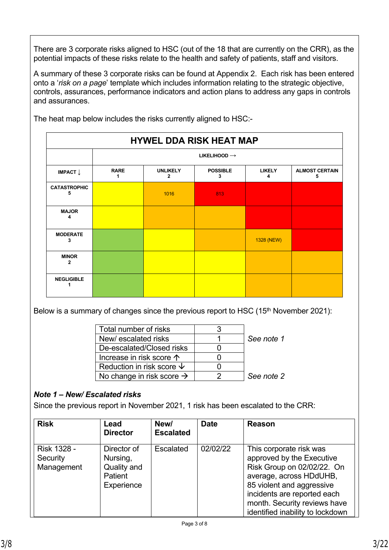There are 3 corporate risks aligned to HSC (out of the 18 that are currently on the CRR), as the potential impacts of these risks relate to the health and safety of patients, staff and visitors.

A summary of these 3 corporate risks can be found at Appendix 2. Each risk has been entered onto a '*risk on a page*' template which includes information relating to the strategic objective, controls, assurances, performance indicators and action plans to address any gaps in controls and assurances.

| <b>HYWEL DDA RISK HEAT MAP</b> |             |                                 |                      |                    |                            |
|--------------------------------|-------------|---------------------------------|----------------------|--------------------|----------------------------|
|                                |             | LIKELIHOOD $\rightarrow$        |                      |                    |                            |
| IMPACT $\downarrow$            | <b>RARE</b> | <b>UNLIKELY</b><br>$\mathbf{2}$ | <b>POSSIBLE</b><br>3 | <b>LIKELY</b><br>4 | <b>ALMOST CERTAIN</b><br>5 |
| <b>CATASTROPHIC</b><br>5       |             | 1016                            | 813                  |                    |                            |
| <b>MAJOR</b><br>Δ              |             |                                 |                      |                    |                            |
| <b>MODERATE</b><br>3           |             |                                 |                      | 1328 (NEW)         |                            |
| <b>MINOR</b><br>$\mathbf{2}$   |             |                                 |                      |                    |                            |
| <b>NEGLIGIBLE</b>              |             |                                 |                      |                    |                            |

The heat map below includes the risks currently aligned to HSC:-

Below is a summary of changes since the previous report to HSC (15<sup>th</sup> November 2021):

| Total number of risks                 |            |
|---------------------------------------|------------|
| New/escalated risks                   | See note 1 |
| De-escalated/Closed risks             |            |
| Increase in risk score 个              |            |
| Reduction in risk score $\downarrow$  |            |
| No change in risk score $\rightarrow$ | See note 2 |

# *Note 1 – New/ Escalated risks*

Since the previous report in November 2021, 1 risk has been escalated to the CRR:

| <b>Risk</b>                                  | Lead<br><b>Director</b>                                         | New/<br><b>Escalated</b> | <b>Date</b> | <b>Reason</b>                                                                                                                                                                                                                                 |
|----------------------------------------------|-----------------------------------------------------------------|--------------------------|-------------|-----------------------------------------------------------------------------------------------------------------------------------------------------------------------------------------------------------------------------------------------|
| <b>Risk 1328 -</b><br>Security<br>Management | Director of<br>Nursing,<br>Quality and<br>Patient<br>Experience | <b>Escalated</b>         | 02/02/22    | This corporate risk was<br>approved by the Executive<br>Risk Group on 02/02/22. On<br>average, across HDdUHB,<br>85 violent and aggressive<br>incidents are reported each<br>month. Security reviews have<br>identified inability to lockdown |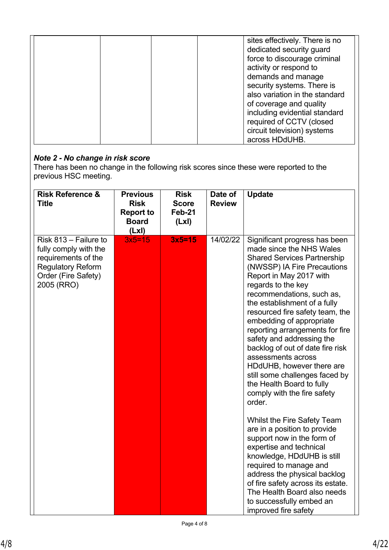|  | sites effectively. There is no |
|--|--------------------------------|
|  | dedicated security guard       |
|  | force to discourage criminal   |
|  | activity or respond to         |
|  | demands and manage             |
|  | security systems. There is     |
|  | also variation in the standard |
|  | of coverage and quality        |
|  | including evidential standard  |
|  | required of CCTV (closed       |
|  | circuit television) systems    |
|  | across HDdUHB.                 |

## *Note 2 - No change in risk score*

There has been no change in the following risk scores since these were reported to the previous HSC meeting.

| <b>Risk Reference &amp;</b><br><b>Title</b>                                                                                            | <b>Previous</b><br><b>Risk</b><br><b>Report to</b><br><b>Board</b><br>(Lx) | <b>Risk</b><br><b>Score</b><br>Feb-21<br>(Lx) | Date of<br><b>Review</b> | <b>Update</b>                                                                                                                                                                                                                                                                                                                                                                                                                                                                                                                                                                                                                                                                                                                                                                                                                                                                                                      |
|----------------------------------------------------------------------------------------------------------------------------------------|----------------------------------------------------------------------------|-----------------------------------------------|--------------------------|--------------------------------------------------------------------------------------------------------------------------------------------------------------------------------------------------------------------------------------------------------------------------------------------------------------------------------------------------------------------------------------------------------------------------------------------------------------------------------------------------------------------------------------------------------------------------------------------------------------------------------------------------------------------------------------------------------------------------------------------------------------------------------------------------------------------------------------------------------------------------------------------------------------------|
| Risk 813 - Failure to<br>fully comply with the<br>requirements of the<br><b>Regulatory Reform</b><br>Order (Fire Safety)<br>2005 (RRO) | $3x5=15$                                                                   | $3x5=15$                                      | 14/02/22                 | Significant progress has been<br>made since the NHS Wales<br><b>Shared Services Partnership</b><br>(NWSSP) IA Fire Precautions<br>Report in May 2017 with<br>regards to the key<br>recommendations, such as,<br>the establishment of a fully<br>resourced fire safety team, the<br>embedding of appropriate<br>reporting arrangements for fire<br>safety and addressing the<br>backlog of out of date fire risk<br>assessments across<br>HDdUHB, however there are<br>still some challenges faced by<br>the Health Board to fully<br>comply with the fire safety<br>order.<br>Whilst the Fire Safety Team<br>are in a position to provide<br>support now in the form of<br>expertise and technical<br>knowledge, HDdUHB is still<br>required to manage and<br>address the physical backlog<br>of fire safety across its estate.<br>The Health Board also needs<br>to successfully embed an<br>improved fire safety |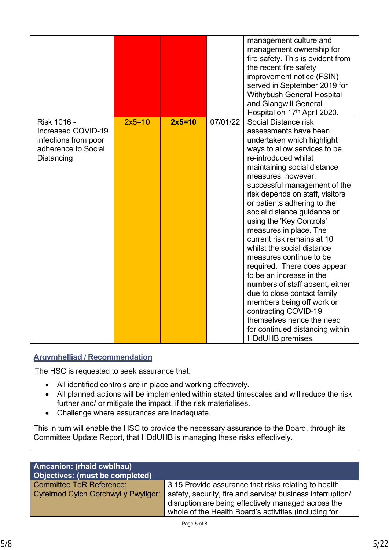|                                                                                                |          |          |          | management culture and<br>management ownership for<br>fire safety. This is evident from<br>the recent fire safety<br>improvement notice (FSIN)<br>served in September 2019 for<br>Withybush General Hospital<br>and Glangwili General<br>Hospital on 17th April 2020.                                                                                                                                                                                                                                                                                                                                                                                                                                                                               |
|------------------------------------------------------------------------------------------------|----------|----------|----------|-----------------------------------------------------------------------------------------------------------------------------------------------------------------------------------------------------------------------------------------------------------------------------------------------------------------------------------------------------------------------------------------------------------------------------------------------------------------------------------------------------------------------------------------------------------------------------------------------------------------------------------------------------------------------------------------------------------------------------------------------------|
| Risk 1016 -<br>Increased COVID-19<br>infections from poor<br>adherence to Social<br>Distancing | $2x5=10$ | $2x5=10$ | 07/01/22 | Social Distance risk<br>assessments have been<br>undertaken which highlight<br>ways to allow services to be<br>re-introduced whilst<br>maintaining social distance<br>measures, however,<br>successful management of the<br>risk depends on staff, visitors<br>or patients adhering to the<br>social distance guidance or<br>using the 'Key Controls'<br>measures in place. The<br>current risk remains at 10<br>whilst the social distance<br>measures continue to be<br>required. There does appear<br>to be an increase in the<br>numbers of staff absent, either<br>due to close contact family<br>members being off work or<br>contracting COVID-19<br>themselves hence the need<br>for continued distancing within<br><b>HDdUHB</b> premises. |

# **Argymhelliad / Recommendation**

The HSC is requested to seek assurance that:

- All identified controls are in place and working effectively.
- All planned actions will be implemented within stated timescales and will reduce the risk further and/ or mitigate the impact, if the risk materialises.
- Challenge where assurances are inadequate.

This in turn will enable the HSC to provide the necessary assurance to the Board, through its Committee Update Report, that HDdUHB is managing these risks effectively.

| <b>Amcanion: (rhaid cwblhau)</b><br>Objectives: (must be completed) |                                                            |
|---------------------------------------------------------------------|------------------------------------------------------------|
| <b>Committee ToR Reference:</b>                                     | 3.15 Provide assurance that risks relating to health,      |
| Cyfeirnod Cylch Gorchwyl y Pwyllgor:                                | safety, security, fire and service/ business interruption/ |
|                                                                     | disruption are being effectively managed across the        |
|                                                                     | whole of the Health Board's activities (including for      |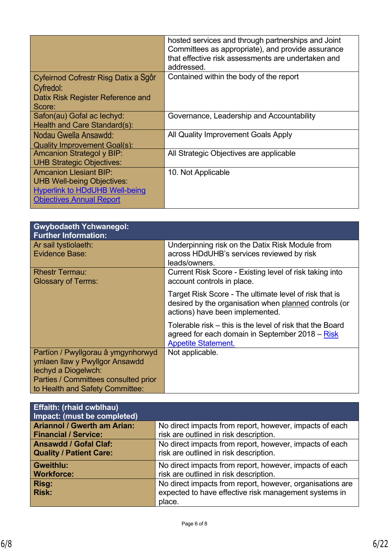|                                                                                                                                                | hosted services and through partnerships and Joint<br>Committees as appropriate), and provide assurance<br>that effective risk assessments are undertaken and<br>addressed. |
|------------------------------------------------------------------------------------------------------------------------------------------------|-----------------------------------------------------------------------------------------------------------------------------------------------------------------------------|
| Cyfeirnod Cofrestr Risg Datix a Sgôr<br>Cyfredol:<br>Datix Risk Register Reference and<br>Score:                                               | Contained within the body of the report                                                                                                                                     |
| Safon(au) Gofal ac lechyd:<br>Health and Care Standard(s):                                                                                     | Governance, Leadership and Accountability                                                                                                                                   |
| Nodau Gwella Ansawdd:<br>Quality Improvement Goal(s):                                                                                          | All Quality Improvement Goals Apply                                                                                                                                         |
| <b>Amcanion Strategol y BIP:</b><br><b>UHB Strategic Objectives:</b>                                                                           | All Strategic Objectives are applicable                                                                                                                                     |
| <b>Amcanion Llesiant BIP:</b><br><b>UHB Well-being Objectives:</b><br><b>Hyperlink to HDdUHB Well-being</b><br><b>Objectives Annual Report</b> | 10. Not Applicable                                                                                                                                                          |

| <b>Gwybodaeth Ychwanegol:</b><br><b>Further Information:</b>                                                                                                           |                                                                                                                                                    |
|------------------------------------------------------------------------------------------------------------------------------------------------------------------------|----------------------------------------------------------------------------------------------------------------------------------------------------|
| Ar sail tystiolaeth:<br><b>Evidence Base:</b>                                                                                                                          | Underpinning risk on the Datix Risk Module from<br>across HDdUHB's services reviewed by risk<br>leads/owners.                                      |
| <b>Rhestr Termau:</b><br><b>Glossary of Terms:</b>                                                                                                                     | Current Risk Score - Existing level of risk taking into<br>account controls in place.                                                              |
|                                                                                                                                                                        | Target Risk Score - The ultimate level of risk that is<br>desired by the organisation when planned controls (or<br>actions) have been implemented. |
|                                                                                                                                                                        | Tolerable risk – this is the level of risk that the Board<br>agreed for each domain in September 2018 – Risk<br><b>Appetite Statement.</b>         |
| Partïon / Pwyllgorau â ymgynhorwyd<br>ymlaen llaw y Pwyllgor Ansawdd<br>lechyd a Diogelwch:<br>Parties / Committees consulted prior<br>to Health and Safety Committee: | Not applicable.                                                                                                                                    |

| <b>Effaith: (rhaid cwblhau)</b><br>Impact: (must be completed) |                                                           |
|----------------------------------------------------------------|-----------------------------------------------------------|
| <b>Ariannol / Gwerth am Arian:</b>                             | No direct impacts from report, however, impacts of each   |
| <b>Financial / Service:</b>                                    | risk are outlined in risk description.                    |
| <b>Ansawdd / Gofal Claf:</b>                                   | No direct impacts from report, however, impacts of each   |
| <b>Quality / Patient Care:</b>                                 | risk are outlined in risk description.                    |
| <b>Gweithlu:</b>                                               | No direct impacts from report, however, impacts of each   |
| <b>Workforce:</b>                                              | risk are outlined in risk description.                    |
| Risg:                                                          | No direct impacts from report, however, organisations are |
| <b>Risk:</b>                                                   | expected to have effective risk management systems in     |
|                                                                | place.                                                    |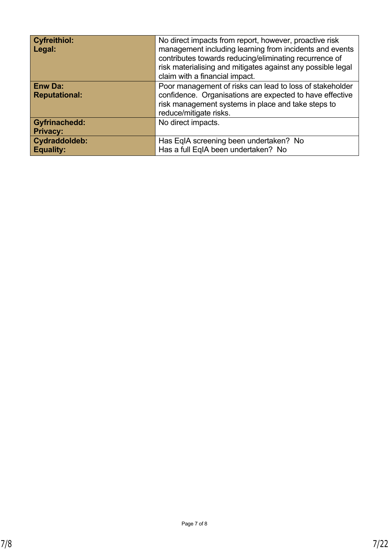| <b>Cyfreithiol:</b><br>Legal:           | No direct impacts from report, however, proactive risk<br>management including learning from incidents and events<br>contributes towards reducing/eliminating recurrence of<br>risk materialising and mitigates against any possible legal<br>claim with a financial impact. |
|-----------------------------------------|------------------------------------------------------------------------------------------------------------------------------------------------------------------------------------------------------------------------------------------------------------------------------|
| <b>Enw Da:</b><br><b>Reputational:</b>  | Poor management of risks can lead to loss of stakeholder<br>confidence. Organisations are expected to have effective<br>risk management systems in place and take steps to<br>reduce/mitigate risks.                                                                         |
| <b>Gyfrinachedd:</b><br><b>Privacy:</b> | No direct impacts.                                                                                                                                                                                                                                                           |
| Cydraddoldeb:<br><b>Equality:</b>       | Has EqIA screening been undertaken? No<br>Has a full EqIA been undertaken? No                                                                                                                                                                                                |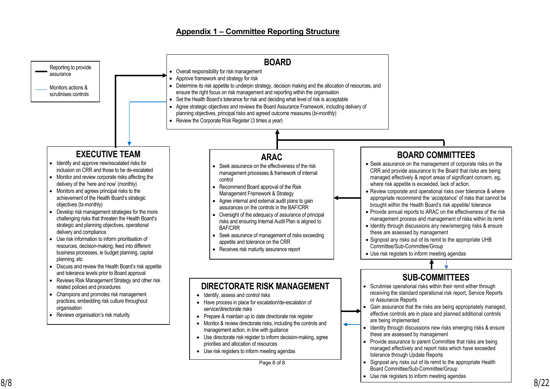#### **Appendix 1 – Committee Reporting Structure**

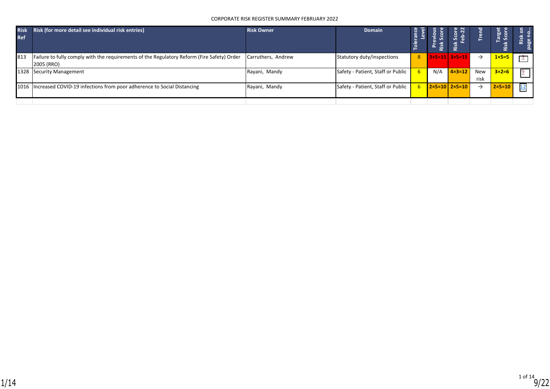#### CORPORATE RISK REGISTER SUMMARY FEBRUARY 2022

| <b>Risk</b><br><b>Ref</b> | Risk (for more detail see individual risk entries)                                                       | <b>Risk Owner</b>  | <b>Domain</b>                     | ា<br>ស្រុក<br>ស្រុក |     | n.<br>്ധ                            | ខ្លួ          | arget<br>Score<br>–<br>Risk | ►. |
|---------------------------|----------------------------------------------------------------------------------------------------------|--------------------|-----------------------------------|---------------------|-----|-------------------------------------|---------------|-----------------------------|----|
| 813                       | Failure to fully comply with the requirements of the Regulatory Reform (Fire Safety) Order<br>2005 (RRO) | Carruthers, Andrew | Statutory duty/inspections        | 8 <sup>1</sup>      |     | $3 \times 5 = 15$ 3 $\times 5 = 15$ | $\rightarrow$ | $1 \times 5 = 5$            |    |
|                           | 1328 Security Management                                                                                 | Rayani, Mandy      | Safety - Patient, Staff or Public |                     | N/A | $4 \times 3 = 12$                   | New<br>risk   | $3\times2=6$                |    |
|                           | 1016   Increased COVID-19 infections from poor adherence to Social Distancing                            | Rayani, Mandy      | Safety - Patient, Staff or Public |                     |     | $2 \times 5 = 10$ 2×5=10            | →             | $2 \times 5 = 10$           |    |
|                           |                                                                                                          |                    |                                   |                     |     |                                     |               |                             |    |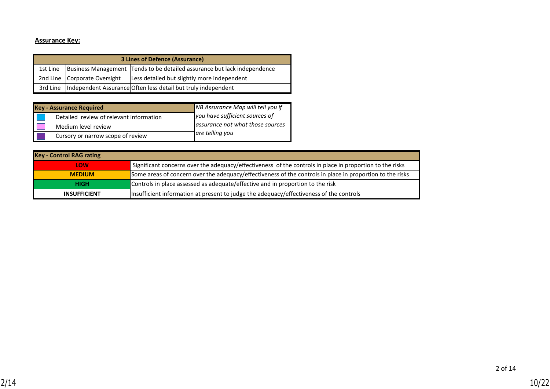#### **Assurance Key:**

| <b>3 Lines of Defence (Assurance)</b> |                              |                                                                          |  |  |  |  |  |
|---------------------------------------|------------------------------|--------------------------------------------------------------------------|--|--|--|--|--|
| 1st Line                              |                              | Business Management Tends to be detailed assurance but lack independence |  |  |  |  |  |
|                                       | 2nd Line Corporate Oversight | Less detailed but slightly more independent                              |  |  |  |  |  |
|                                       |                              | 3rd Line  Independent Assurance Often less detail but truly independent  |  |  |  |  |  |

| <b>Key - Assurance Required</b>         | NB Assurance Map will tell you if |  |  |  |
|-----------------------------------------|-----------------------------------|--|--|--|
| Detailed review of relevant information | you have sufficient sources of    |  |  |  |
| Medium level review                     | assurance not what those sources  |  |  |  |
| Cursory or narrow scope of review       | are telling you                   |  |  |  |

| <b>Key - Control RAG rating</b> |                                                                                                           |
|---------------------------------|-----------------------------------------------------------------------------------------------------------|
| LOW                             | Significant concerns over the adequacy/effectiveness of the controls in place in proportion to the risks  |
| <b>MEDIUM</b>                   | Some areas of concern over the adequacy/effectiveness of the controls in place in proportion to the risks |
| <b>HIGH</b>                     | Controls in place assessed as adequate/effective and in proportion to the risk                            |
| <b>INSUFFICIENT</b>             | Insufficient information at present to judge the adequacy/effectiveness of the controls                   |

2 of 14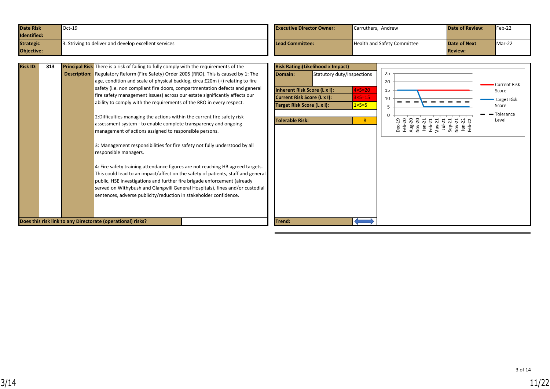<span id="page-10-0"></span>

| <b>Date Risk</b> | $\textsf{Oct-19}$                                     | <b>Executive Director Owner:</b> | Carruthers, Andrew                 | <b>Date of Review:</b> | $Feb-22$ |
|------------------|-------------------------------------------------------|----------------------------------|------------------------------------|------------------------|----------|
| Identified:      |                                                       |                                  |                                    |                        |          |
| <b>Strategic</b> | 3. Striving to deliver and develop excellent services | Lead Committee:                  | <b>Health and Safety Committee</b> | <b>Date of Next</b>    | $Mar-22$ |
| Objective:       |                                                       |                                  |                                    | <b>Review:</b>         |          |

| <b>Risk ID:</b> | 813 | <b>Principal Risk</b> There is a risk of failing to fully comply with the requirements of the                                                                                                                                                                                                                                                                                                                                                                                                                                                                                                                                                                                                                       |                                                                                                      | <b>Risk Rating: (Likelihood x Impact)</b> |                                                     |                      |                                                                                                                                                      |                                                      |
|-----------------|-----|---------------------------------------------------------------------------------------------------------------------------------------------------------------------------------------------------------------------------------------------------------------------------------------------------------------------------------------------------------------------------------------------------------------------------------------------------------------------------------------------------------------------------------------------------------------------------------------------------------------------------------------------------------------------------------------------------------------------|------------------------------------------------------------------------------------------------------|-------------------------------------------|-----------------------------------------------------|----------------------|------------------------------------------------------------------------------------------------------------------------------------------------------|------------------------------------------------------|
|                 |     | <b>Description:</b> Regulatory Reform (Fire Safety) Order 2005 (RRO). This is caused by 1: The<br>age, condition and scale of physical backlog, circa £20m (+) relating to fire<br>safety (i.e. non compliant fire doors, compartmentation defects and general<br>fire safety management issues) across our estate significantly affects our<br>ability to comply with the requirements of the RRO in every respect.                                                                                                                                                                                                                                                                                                | Domain:<br>Inherent Risk Score (L x I):<br>Current Risk Score (L x I):<br>Target Risk Score (L x I): | Statutory duty/inspections                | $4\times5=20$<br>$3\times 5=15$<br>$1 \times 5 = 5$ | 25<br>20<br>15<br>10 |                                                                                                                                                      | <b>Current Risk</b><br>Score<br>Target Risk<br>Score |
|                 |     | 2: Difficulties managing the actions within the current fire safety risk<br>assessment system - to enable complete transparency and ongoing<br>management of actions assigned to responsible persons.<br>3: Management responsibilities for fire safety not fully understood by all<br>responsible managers.<br>4: Fire safety training attendance figures are not reaching HB agreed targets.<br>This could lead to an impact/affect on the safety of patients, staff and general<br>public, HSE investigations and further fire brigade enforcement (already<br>served on Withybush and Glangwili General Hospitals), fines and/or custodial<br>sentences, adverse publicity/reduction in stakeholder confidence. | <b>Tolerable Risk:</b>                                                                               |                                           | 8 <sup>°</sup>                                      |                      | Dec-19<br>Feb-20<br>Rug-20<br>A May-21<br>Rug-21<br>Rug-21<br>Sep-21<br>Sep-21<br>Rug-21<br>Rug-21<br>Sep-21<br>Rug-21<br>Sep-21<br>Rug-21<br>Sep-21 | $\blacksquare$ Tolerance<br>Level                    |
|                 |     | Does this risk link to any Directorate (operational) risks?                                                                                                                                                                                                                                                                                                                                                                                                                                                                                                                                                                                                                                                         | Trend:                                                                                               |                                           |                                                     |                      |                                                                                                                                                      |                                                      |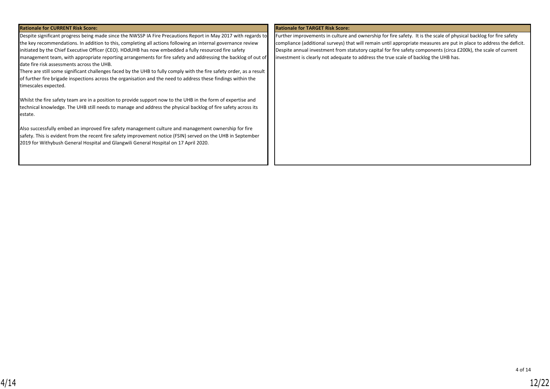| <b>Rationale for CURRENT Risk Score:</b>                                                                             | <b>Rationale for TARGET Risk Score:</b>                                                                              |
|----------------------------------------------------------------------------------------------------------------------|----------------------------------------------------------------------------------------------------------------------|
| Despite significant progress being made since the NWSSP IA Fire Precautions Report in May 2017 with regards to       | Further improvements in culture and ownership for fire safety. It is the scale of physical backlog for fire safety   |
| the key recommendations. In addition to this, completing all actions following an internal governance review         | compliance (additional surveys) that will remain until appropriate measures are put in place to address the deficit. |
| initiated by the Chief Executive Officer (CEO). HDdUHB has now embedded a fully resourced fire safety                | Despite annual investment from statutory capital for fire safety components (circa £200k), the scale of current      |
| management team, with appropriate reporting arrangements for fire safety and addressing the backlog of out of        | investment is clearly not adequate to address the true scale of backlog the UHB has.                                 |
| date fire risk assessments across the UHB.                                                                           |                                                                                                                      |
| There are still some significant challenges faced by the UHB to fully comply with the fire safety order, as a result |                                                                                                                      |
| of further fire brigade inspections across the organisation and the need to address these findings within the        |                                                                                                                      |
| timescales expected.                                                                                                 |                                                                                                                      |
|                                                                                                                      |                                                                                                                      |
| Whilst the fire safety team are in a position to provide support now to the UHB in the form of expertise and         |                                                                                                                      |
| technical knowledge. The UHB still needs to manage and address the physical backlog of fire safety across its        |                                                                                                                      |
| estate.                                                                                                              |                                                                                                                      |
|                                                                                                                      |                                                                                                                      |
| Also successfully embed an improved fire safety management culture and management ownership for fire                 |                                                                                                                      |
| safety. This is evident from the recent fire safety improvement notice (FSIN) served on the UHB in September         |                                                                                                                      |
| 2019 for Withybush General Hospital and Glangwili General Hospital on 17 April 2020.                                 |                                                                                                                      |
|                                                                                                                      |                                                                                                                      |
|                                                                                                                      |                                                                                                                      |
|                                                                                                                      |                                                                                                                      |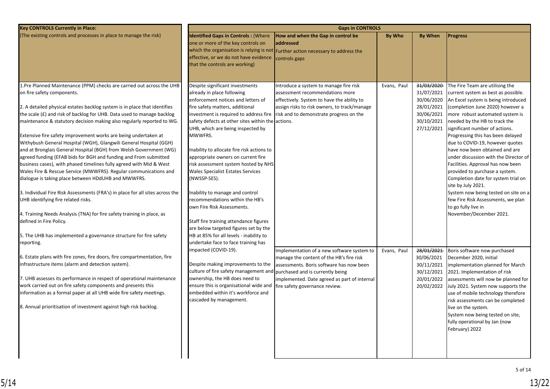| <b>Key CONTROLS Currently in Place:</b>                                                                                                                                                                                                                                                                                                                                                                                                                                                                                                                                                                                                                                                                                                                                                                                                                                                                                                                                                                                                                                                                                                   | <b>Gaps in CONTROLS</b>                                                                                                                                                                                                                                                                                                                                                                                                                                                                                                                                                                                                                                                                                                                         |                                                                                                                                                                                                                      |             |                                                                                                |                                                                                                                                                                                                                                                                                                                                                                                                                                                                                                                                                                                                                                                                                |  |  |  |
|-------------------------------------------------------------------------------------------------------------------------------------------------------------------------------------------------------------------------------------------------------------------------------------------------------------------------------------------------------------------------------------------------------------------------------------------------------------------------------------------------------------------------------------------------------------------------------------------------------------------------------------------------------------------------------------------------------------------------------------------------------------------------------------------------------------------------------------------------------------------------------------------------------------------------------------------------------------------------------------------------------------------------------------------------------------------------------------------------------------------------------------------|-------------------------------------------------------------------------------------------------------------------------------------------------------------------------------------------------------------------------------------------------------------------------------------------------------------------------------------------------------------------------------------------------------------------------------------------------------------------------------------------------------------------------------------------------------------------------------------------------------------------------------------------------------------------------------------------------------------------------------------------------|----------------------------------------------------------------------------------------------------------------------------------------------------------------------------------------------------------------------|-------------|------------------------------------------------------------------------------------------------|--------------------------------------------------------------------------------------------------------------------------------------------------------------------------------------------------------------------------------------------------------------------------------------------------------------------------------------------------------------------------------------------------------------------------------------------------------------------------------------------------------------------------------------------------------------------------------------------------------------------------------------------------------------------------------|--|--|--|
| (The existing controls and processes in place to manage the risk)                                                                                                                                                                                                                                                                                                                                                                                                                                                                                                                                                                                                                                                                                                                                                                                                                                                                                                                                                                                                                                                                         | <b>Identified Gaps in Controls: (Where</b><br>one or more of the key controls on<br>effective, or we do not have evidence<br>that the controls are working)                                                                                                                                                                                                                                                                                                                                                                                                                                                                                                                                                                                     | How and when the Gap in control be<br>addressed<br>which the organisation is relying is not Further action necessary to address the<br>controls gaps                                                                 | By Who      | <b>By When</b>                                                                                 | <b>Progress</b>                                                                                                                                                                                                                                                                                                                                                                                                                                                                                                                                                                                                                                                                |  |  |  |
| 1.Pre Planned Maintenance (PPM) checks are carried out across the UHB<br>on fire safety components.<br>2. A detailed physical estates backlog system is in place that identifies<br>the scale (£) and risk of backlog for UHB. Data used to manage backlog<br>maintenance & statutory decision making also regularly reported to WG.<br>Extensive fire safety improvement works are being undertaken at<br>Withybush General Hospital (WGH), Glangwili General Hospital (GGH)<br>and at Bronglais General Hospital (BGH) from Welsh Government (WG)<br>agreed funding (EFAB bids for BGH and funding and From submitted<br>business cases), with phased timelines fully agreed with Mid & West<br>Wales Fire & Rescue Service (MWWFRS). Regular communications and<br>dialogue is taking place between HDdUHB and MWWFRS.<br>3. Individual Fire Risk Assessments (FRA's) in place for all sites across the<br>UHB identifying fire related risks.<br>4. Training Needs Analysis (TNA) for fire safety training in place, as<br>defined in Fire Policy.<br>5. The UHB has implemented a governance structure for fire safety<br>reporting. | Despite significant investments<br>already in place following<br>enforcement notices and letters of<br>fire safety matters, additional<br>investment is required to address fire<br>safety defects at other sites within the actions.<br>UHB, which are being inspected by<br>MWWFRS.<br>Inability to allocate fire risk actions to<br>appropriate owners on current fire<br>risk assessment system hosted by NHS<br>Wales Specialist Estates Services<br>(NWSSP-SES).<br>Inability to manage and control<br>recommendations within the HB's<br>own Fire Risk Assessments.<br>Staff fire training attendance figures<br>are below targeted figures set by the<br>HB at 85% for all levels - inability to<br>undertake face to face training has | Introduce a system to manage fire risk<br>assessment recommendations more<br>effectively. System to have the ability to<br>assign risks to risk owners, to track/manage<br>risk and to demonstrate progress on the   | Evans, Paul | 31/03/2020<br>31/07/2021<br>30/06/2020<br>28/01/2021<br>30/06/2021<br>30/10/2021<br>27/12/2021 | The Fire Team are utilising the<br>current system as best as possible.<br>An Excel system is being introduced<br>(completion June 2020) however a<br>more robust automated system is<br>needed by the HB to track the<br>significant number of actions.<br>Progressing this has been delayed<br>due to COVID-19, however quotes<br>have now been obtained and are<br>under discussion with the Director of<br>Facilities. Approval has now been<br>provided to purchase a system.<br>Completion date for system trial on<br>site by July 2021.<br>System now being tested on site on a<br>few Fire Risk Assessments, we plan<br>to go fully live in<br>November/December 2021. |  |  |  |
| 6. Estate plans with fire zones, fire doors, fire compartmentation, fire<br>infrastructure items (alarm and detection system).<br>7. UHB assesses its performance in respect of operational maintenance<br>work carried out on fire safety components and presents this<br>information as a formal paper at all UHB wide fire safety meetings.<br>8. Annual prioritisation of investment against high risk backlog.                                                                                                                                                                                                                                                                                                                                                                                                                                                                                                                                                                                                                                                                                                                       | impacted (COVID-19).<br>Despite making improvements to the<br>culture of fire safety management and purchased and is currently being<br>ownership, the HB does need to<br>ensure this is organisational wide and<br>embedded within it's workforce and<br>cascaded by management.                                                                                                                                                                                                                                                                                                                                                                                                                                                               | Implementation of a new software system to<br>manage the content of the HB's fire risk<br>assessments. Boris software has now been<br>implemented. Date agreed as part of internal<br>fire safety governance review. | Evans, Paul | 28/01/2021<br>30/06/2021<br>30/11/2021<br>30/12/2021<br>20/01/2022<br>20/02/2022               | Boris software now purchased<br>December 2020, initial<br>implementation planned for March<br>2021. Implementation of risk<br>assessments will now be planned for<br>July 2021. System now supports the<br>use of mobile technology therefore<br>risk assessments can be completed<br>live on the system.<br>System now being tested on site,<br>fully operational by Jan (now<br>February) 2022                                                                                                                                                                                                                                                                               |  |  |  |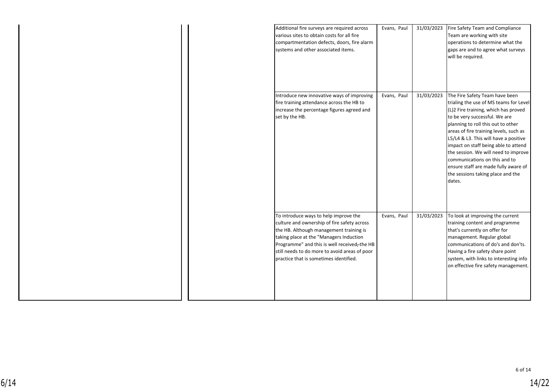|  | Additional fire surveys are required across<br>various sites to obtain costs for all fire<br>compartmentation defects, doors, fire alarm<br>systems and other associated items.                                                                                                                                      | Evans, Paul | 31/03/2023 | Fire Safety Team and Compliance<br>Team are working with site<br>operations to determine what the<br>gaps are and to agree what surveys<br>will be required.                                                                                                                                                                                                                                                                                                                       |
|--|----------------------------------------------------------------------------------------------------------------------------------------------------------------------------------------------------------------------------------------------------------------------------------------------------------------------|-------------|------------|------------------------------------------------------------------------------------------------------------------------------------------------------------------------------------------------------------------------------------------------------------------------------------------------------------------------------------------------------------------------------------------------------------------------------------------------------------------------------------|
|  | Introduce new innovative ways of improving<br>fire training attendance across the HB to<br>increase the percentage figures agreed and<br>set by the HB.                                                                                                                                                              | Evans, Paul | 31/03/2023 | The Fire Safety Team have been<br>trialing the use of MS teams for Level<br>(L)2 Fire training, which has proved<br>to be very successful. We are<br>planning to roll this out to other<br>areas of fire training levels, such as<br>L5/L4 & L3. This will have a positive<br>impact on staff being able to attend<br>the session. We will need to improve<br>communications on this and to<br>ensure staff are made fully aware of<br>the sessions taking place and the<br>dates. |
|  | To introduce ways to help improve the<br>culture and ownership of fire safety across<br>the HB. Although management training is<br>taking place at the "Managers Induction<br>Programme" and this is well received-the HB<br>still needs to do more to avoid areas of poor<br>practice that is sometimes identified. | Evans, Paul | 31/03/2023 | To look at improving the current<br>training content and programme<br>that's currently on offer for<br>management. Regular global<br>communications of do's and don'ts.<br>Having a fire safety share point<br>system, with links to interesting info<br>on effective fire safety management.                                                                                                                                                                                      |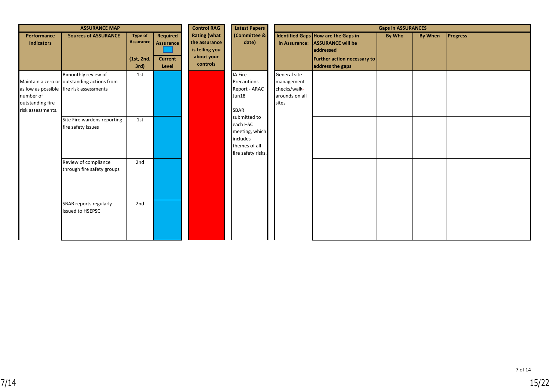| <b>ASSURANCE MAP</b>                               |                                                                                                                |                                                   |                                                         | <b>Control RAG</b><br><b>Latest Papers</b><br><b>Gaps in ASSURANCES</b>          |                                                                                               |                                                                       |                                                                                                                                               |               |                |                 |
|----------------------------------------------------|----------------------------------------------------------------------------------------------------------------|---------------------------------------------------|---------------------------------------------------------|----------------------------------------------------------------------------------|-----------------------------------------------------------------------------------------------|-----------------------------------------------------------------------|-----------------------------------------------------------------------------------------------------------------------------------------------|---------------|----------------|-----------------|
| Performance<br><b>Indicators</b>                   | <b>Sources of ASSURANCE</b>                                                                                    | Type of<br><b>Assurance</b><br>(1st, 2nd,<br>3rd) | Required<br><b>Assurance</b><br><b>Current</b><br>Level | <b>Rating (what</b><br>the assurance<br>is telling you<br>about your<br>controls | (Committee &<br>date)                                                                         |                                                                       | Identified Gaps How are the Gaps in<br>in Assurance: ASSURANCE will be<br><b>addressed</b><br>Further action necessary to<br>address the gaps | <b>By Who</b> | <b>By When</b> | <b>Progress</b> |
| number of<br>outstanding fire<br>risk assessments. | Bimonthly review of<br>Maintain a zero or outstanding actions from<br>as low as possible fire risk assessments | 1st                                               |                                                         |                                                                                  | IA Fire<br>Precautions<br>Report - ARAC<br>Jun18<br>SBAR                                      | General site<br>management<br>checks/walk-<br>arounds on all<br>sites |                                                                                                                                               |               |                |                 |
|                                                    | Site Fire wardens reporting<br>fire safety issues                                                              | 1st                                               |                                                         |                                                                                  | submitted to<br>each HSC<br>meeting, which<br>includes<br>themes of all<br>fire safety risks. |                                                                       |                                                                                                                                               |               |                |                 |
|                                                    | Review of compliance<br>through fire safety groups                                                             | 2nd                                               |                                                         |                                                                                  |                                                                                               |                                                                       |                                                                                                                                               |               |                |                 |
|                                                    | SBAR reports regularly<br>issued to HSEPSC                                                                     | 2nd                                               |                                                         |                                                                                  |                                                                                               |                                                                       |                                                                                                                                               |               |                |                 |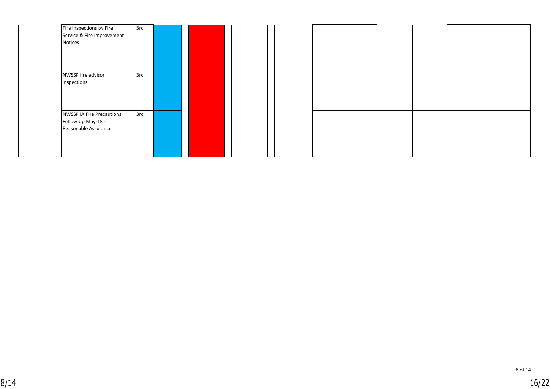| Fire inspections by Fire         | 3rd |  |
|----------------------------------|-----|--|
| Service & Fire Improvement       |     |  |
| <b>Notices</b>                   |     |  |
|                                  |     |  |
|                                  |     |  |
|                                  |     |  |
| NWSSP fire advisor               | 3rd |  |
| inspections                      |     |  |
|                                  |     |  |
|                                  |     |  |
|                                  |     |  |
| <b>NWSSP IA Fire Precautions</b> | 3rd |  |
| Follow Up May-18 -               |     |  |
| Reasonable Assurance             |     |  |
|                                  |     |  |
|                                  |     |  |
|                                  |     |  |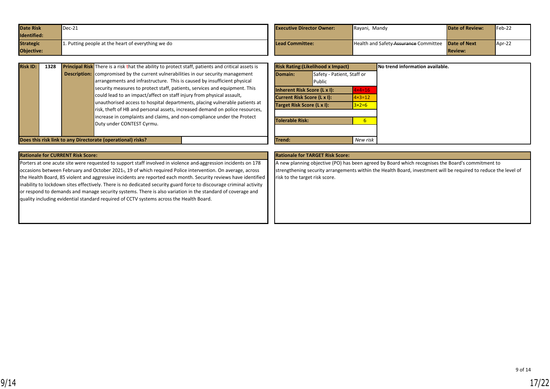<span id="page-16-0"></span>

| <b>Date Risk</b> | $Dec-21$                                           | <b>Executive Director Owner:</b> | Rayani, Mandy                                             | <b>Date of Review:</b> | $Feb-22$ |
|------------------|----------------------------------------------------|----------------------------------|-----------------------------------------------------------|------------------------|----------|
| Identified:      |                                                    |                                  |                                                           |                        |          |
| <b>Strategic</b> | 1. Putting people at the heart of everything we do | Lead Committee:                  | <b>Health and Safety-Assurance Committee Date of Next</b> |                        | $Apr-22$ |
| Objective:       |                                                    |                                  |                                                           | <b>Review:</b>         |          |

| <b>Risk ID:</b> | 1328 | <b>Principal Risk</b> There is a risk that the ability to protect staff, patients and critical assets is |
|-----------------|------|----------------------------------------------------------------------------------------------------------|
|                 |      | <b>Description:</b> compromised by the current vulnerabilities in our security management                |
|                 |      | arrangements and infrastructure. This is caused by insufficient physical                                 |
|                 |      | security measures to protect staff, patients, services and equipment. This                               |
|                 |      | could lead to an impact/affect on staff injury from physical assault,                                    |
|                 |      | unauthorised access to hospital departments, placing vulnerable patients at                              |
|                 |      | risk, theft of HB and personal assets, increased demand on police resources,                             |
|                 |      | increase in complaints and claims, and non-compliance under the Protect                                  |
|                 |      | Duty under CONTEST Cyrmu.                                                                                |
|                 |      |                                                                                                          |

|                                                   | <b>Risk Rating: (Likelihood x Impact)</b> |                   | No trend information available. |
|---------------------------------------------------|-------------------------------------------|-------------------|---------------------------------|
| Domain:                                           | Safety - Patient, Staff or<br>Public      |                   |                                 |
| Inherent Risk Score (L x I):<br>$4 \times 4 = 16$ |                                           |                   |                                 |
| Current Risk Score (L x I):                       |                                           | $4 \times 3 = 12$ |                                 |
|                                                   | Target Risk Score (L x I):                |                   |                                 |
| <b>Tolerable Risk:</b>                            |                                           | 6                 |                                 |
|                                                   |                                           |                   |                                 |
| Trend:                                            |                                           | New risk          |                                 |

**Does this risk link to any Directorate (operational) risks?** 

Porters at one acute site were requested to support staff involved in violence and aggression incidents on 178 occasions between February and October 2021., 19 of which required Police intervention. On average, across the Health Board, 85 violent and aggressive incidents are reported each month. Security reviews have identified inability to lockdown sites effectively. There is no dedicated security guard force to discourage criminal activity or respond to demands and manage security systems. There is also variation in the standard of coverage and quality including evidential standard required of CCTV systems across the Health Board.

#### **Rationale for CURRENT Risk Score: Rationale for TARGET Risk Score:**

A new planning objective (PO) has been agreed by Board which recognises the Board's commitment to strengthening security arrangements within the Health Board, investment will be required to reduce the level of risk to the target risk score.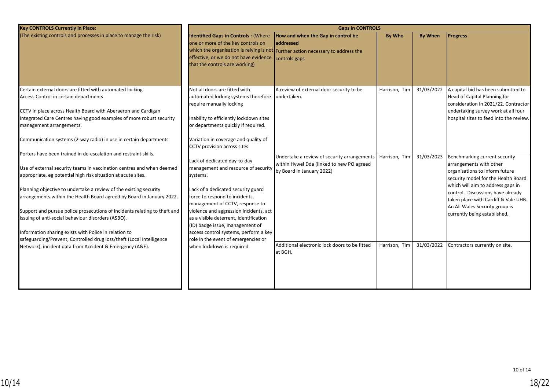| <b>Key CONTROLS Currently in Place:</b>                                                                                                                                                                                                                                                                                                                                                                                                                                                                                                                                                                                                                                                                                                                       | <b>Gaps in CONTROLS</b>                                                                                                                                                                                                                                                                                                                                                                                                                                                                                |                                                                                                                                                                        |                                |                          |                                                                                                                                                                                                                                                                                                                                                         |  |  |  |
|---------------------------------------------------------------------------------------------------------------------------------------------------------------------------------------------------------------------------------------------------------------------------------------------------------------------------------------------------------------------------------------------------------------------------------------------------------------------------------------------------------------------------------------------------------------------------------------------------------------------------------------------------------------------------------------------------------------------------------------------------------------|--------------------------------------------------------------------------------------------------------------------------------------------------------------------------------------------------------------------------------------------------------------------------------------------------------------------------------------------------------------------------------------------------------------------------------------------------------------------------------------------------------|------------------------------------------------------------------------------------------------------------------------------------------------------------------------|--------------------------------|--------------------------|---------------------------------------------------------------------------------------------------------------------------------------------------------------------------------------------------------------------------------------------------------------------------------------------------------------------------------------------------------|--|--|--|
| (The existing controls and processes in place to manage the risk)                                                                                                                                                                                                                                                                                                                                                                                                                                                                                                                                                                                                                                                                                             | <b>Identified Gaps in Controls: (Where</b><br>one or more of the key controls on<br>effective, or we do not have evidence<br>that the controls are working)                                                                                                                                                                                                                                                                                                                                            | How and when the Gap in control be<br>laddressed<br>which the organisation is relying is not Further action necessary to address the<br>controls gaps                  | <b>By Who</b>                  | <b>By When</b>           | <b>Progress</b>                                                                                                                                                                                                                                                                                                                                         |  |  |  |
| Certain external doors are fitted with automated locking.<br>Access Control in certain departments<br>CCTV in place across Health Board with Aberaeron and Cardigan<br>Integrated Care Centres having good examples of more robust security<br>management arrangements.                                                                                                                                                                                                                                                                                                                                                                                                                                                                                       | Not all doors are fitted with<br>automated locking systems therefore undertaken.<br>require manually locking<br>Inability to efficiently lockdown sites<br>or departments quickly if required.                                                                                                                                                                                                                                                                                                         | A review of external door security to be                                                                                                                               | Harrison, Tim                  | 31/03/2022               | A capital bid has been submitted to<br>Head of Capital Planning for<br>consideration in 2021/22. Contractor<br>undertaking survey work at all four<br>hospital sites to feed into the review.                                                                                                                                                           |  |  |  |
| Communication systems (2-way radio) in use in certain departments<br>Porters have been trained in de-escalation and restraint skills.<br>Use of external security teams in vaccination centres and when deemed<br>appropriate, eg potential high risk situation at acute sites.<br>Planning objective to undertake a review of the existing security<br>arrangements within the Health Board agreed by Board in January 2022.<br>Support and pursue police prosecutions of incidents relating to theft and<br>issuing of anti-social behaviour disorders (ASBO).<br>Information sharing exists with Police in relation to<br>safeguarding/Prevent, Controlled drug loss/theft (Local Intelligence<br>Network), incident data from Accident & Emergency (A&E). | Variation in coverage and quality of<br>CCTV provision across sites<br>Lack of dedicated day-to-day<br>management and resource of security<br>systems.<br>Lack of a dedicated security guard<br>force to respond to incidents,<br>management of CCTV, response to<br>violence and aggression incidents, act<br>as a visible deterrent, identification<br>(ID) badge issue, management of<br>access control systems, perform a key<br>role in the event of emergencies or<br>when lockdown is required. | Undertake a review of security arrangements<br>within Hywel Dda (linked to new PO agreed<br>by Board in January 2022)<br>Additional electronic lock doors to be fitted | Harrison, Tim<br>Harrison, Tim | 31/03/2023<br>31/03/2022 | Benchmarking current security<br>arrangements with other<br>organisations to inform future<br>security model for the Health Board<br>which will aim to address gaps in<br>control. Discussions have already<br>taken place with Cardiff & Vale UHB.<br>An All Wales Security group is<br>currently being established.<br>Contractors currently on site. |  |  |  |
|                                                                                                                                                                                                                                                                                                                                                                                                                                                                                                                                                                                                                                                                                                                                                               |                                                                                                                                                                                                                                                                                                                                                                                                                                                                                                        | at BGH.                                                                                                                                                                |                                |                          |                                                                                                                                                                                                                                                                                                                                                         |  |  |  |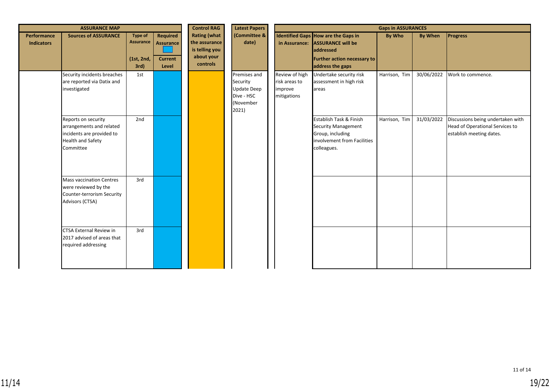|                                  | <b>ASSURANCE MAP</b>                                                                                                  |                                                          | <b>Control RAG</b>                                             | <b>Latest Papers</b>                                                             |                                                                                    |                                                           | <b>Gaps in ASSURANCES</b>                                                                                                                     |               |                |                                                                                                  |
|----------------------------------|-----------------------------------------------------------------------------------------------------------------------|----------------------------------------------------------|----------------------------------------------------------------|----------------------------------------------------------------------------------|------------------------------------------------------------------------------------|-----------------------------------------------------------|-----------------------------------------------------------------------------------------------------------------------------------------------|---------------|----------------|--------------------------------------------------------------------------------------------------|
| Performance<br><b>Indicators</b> | <b>Sources of ASSURANCE</b>                                                                                           | <b>Type of</b><br><b>Assurance</b><br>(1st, 2nd,<br>3rd) | <b>Required</b><br><b>Assurance</b><br><b>Current</b><br>Level | <b>Rating (what</b><br>the assurance<br>is telling you<br>about your<br>controls | (Committee &<br>date)                                                              |                                                           | Identified Gaps How are the Gaps in<br>in Assurance: ASSURANCE will be<br>addressed<br><b>Further action necessary to</b><br>address the gaps | <b>By Who</b> | <b>By When</b> | <b>Progress</b>                                                                                  |
|                                  | Security incidents breaches<br>are reported via Datix and<br>investigated                                             | 1st                                                      |                                                                |                                                                                  | Premises and<br>Security<br><b>Update Deep</b><br>Dive - HSC<br>(November<br>2021) | Review of high<br>risk areas to<br>improve<br>mitigations | Undertake security risk<br>assessment in high risk<br>areas                                                                                   | Harrison, Tim | 30/06/2022     | Work to commence.                                                                                |
|                                  | Reports on security<br>arrangements and related<br>incidents are provided to<br><b>Health and Safety</b><br>Committee | 2nd                                                      |                                                                |                                                                                  |                                                                                    |                                                           | Establish Task & Finish<br><b>Security Management</b><br>Group, including<br>involvement from Facilities<br>colleagues.                       | Harrison, Tim | 31/03/2022     | Discussions being undertaken with<br>Head of Operational Services to<br>establish meeting dates. |
|                                  | <b>Mass vaccination Centres</b><br>were reviewed by the<br>Counter-terrorism Security<br>Advisors (CTSA)              | 3rd                                                      |                                                                |                                                                                  |                                                                                    |                                                           |                                                                                                                                               |               |                |                                                                                                  |
|                                  | CTSA External Review in<br>2017 advised of areas that<br>required addressing                                          | 3rd                                                      |                                                                |                                                                                  |                                                                                    |                                                           |                                                                                                                                               |               |                |                                                                                                  |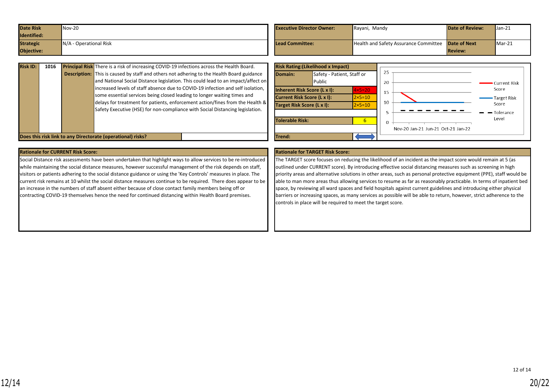<span id="page-19-0"></span>

| <b>Date Risk</b> | $Nov-20$               | <b>Executive Director Owner:</b> | Rayani, Mandy                                             | <b>Date of Review:</b> | $Jan-21$ |
|------------------|------------------------|----------------------------------|-----------------------------------------------------------|------------------------|----------|
| Identified:      |                        |                                  |                                                           |                        |          |
| <b>Strategic</b> | N/A - Operational Risk | Lead Committee:                  | <b>Health and Safety Assurance Committee Date of Next</b> |                        | $Mar-21$ |
| Objective:       |                        |                                  |                                                           | <b>Review:</b>         |          |

| <b>Risk ID:</b>                                             | 1016 |  | Principal Risk There is a risk of increasing COVID-19 infections across the Health Board.<br><b>Description:</b> This is caused by staff and others not adhering to the Health Board guidance |        | Domain:         | <b>Risk Rating: (Likelihood x Impact)</b><br>Safety - Patient, Staff or |                               |    |                                    |                        |
|-------------------------------------------------------------|------|--|-----------------------------------------------------------------------------------------------------------------------------------------------------------------------------------------------|--------|-----------------|-------------------------------------------------------------------------|-------------------------------|----|------------------------------------|------------------------|
|                                                             |      |  | and National Social Distance legislation. This could lead to an impact/affect on<br>increased levels of staff absence due to COVID-19 infection and self isolation,                           |        |                 | Public                                                                  |                               | 20 |                                    | Current Risk           |
|                                                             |      |  | some essential services being closed leading to longer waiting times and                                                                                                                      |        |                 | <b>Inherent Risk Score (L x I):</b><br>Current Risk Score (L x I):      | $4x5=20$<br>$2 \times 5 = 10$ |    |                                    | Score<br>- Target Risk |
|                                                             |      |  | delays for treatment for patients, enforcement action/fines from the Health &<br>Safety Executive (HSE) for non-compliance with Social Distancing legislation.                                |        |                 | Target Risk Score (L x I):                                              | $2 \times 5 = 10$             | 10 |                                    | Score<br>- Tolerance   |
|                                                             |      |  |                                                                                                                                                                                               |        | Tolerable Risk: |                                                                         |                               |    |                                    | Level                  |
|                                                             |      |  |                                                                                                                                                                                               |        |                 |                                                                         |                               |    | Nov-20 Jan-21 Jun-21 Oct-21 Jan-22 |                        |
| Does this risk link to any Directorate (operational) risks? |      |  |                                                                                                                                                                                               | Trend: |                 |                                                                         |                               |    |                                    |                        |

| <b>Rationale for CURRENT Risk Score:</b>                                                                         | Ratio  |
|------------------------------------------------------------------------------------------------------------------|--------|
| Social Distance risk assessments have been undertaken that highlight ways to allow services to be re-introduced  | The T  |
| while maintaining the social distance measures, however successful management of the risk depends on staff,      | outlin |
| visitors or patients adhering to the social distance guidance or using the 'Key Controls' measures in place. The | priori |
| current risk remains at 10 whilst the social distance measures continue to be required. There does appear to be  | able t |
| an increase in the numbers of staff absent either because of close contact family members being off or           | space  |
| contracting COVID-19 themselves hence the need for continued distancing within Health Board premises.            | barrie |
|                                                                                                                  | contr  |
|                                                                                                                  |        |

#### **Pationale for TARGET Risk Score:**

TARGET score focuses on reducing the likelihood of an incident as the impact score would remain at 5 (as ned under CURRENT score). By introducing effective social distancing measures such as screening in high ity areas and alternative solutions in other areas, such as personal protective equipment (PPE), staff would be to man more areas thus allowing services to resume as far as reasonably practicable. In terms of inpatient bed e, by reviewing all ward spaces and field hospitals against current guidelines and introducing either physical ers or increasing spaces, as many services as possible will be able to return, however, strict adherence to the ols in place will be required to meet the target score.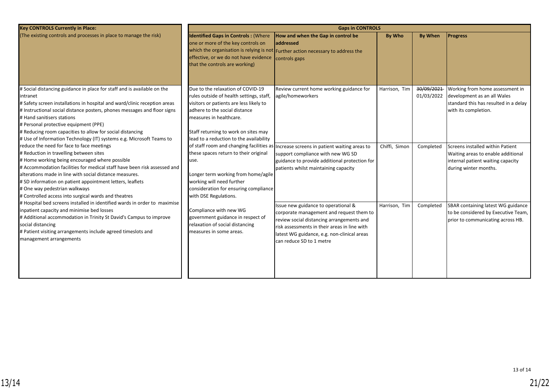| <b>Key CONTROLS Currently in Place:</b>                                                                                                                                                                                                                                                                                                                                                                                                                  | <b>Gaps in CONTROLS</b>                                                                                                                                                                                                                                                 |                                                                                                                                                                                                                                                         |               |                          |                                                                                                                                      |  |  |  |
|----------------------------------------------------------------------------------------------------------------------------------------------------------------------------------------------------------------------------------------------------------------------------------------------------------------------------------------------------------------------------------------------------------------------------------------------------------|-------------------------------------------------------------------------------------------------------------------------------------------------------------------------------------------------------------------------------------------------------------------------|---------------------------------------------------------------------------------------------------------------------------------------------------------------------------------------------------------------------------------------------------------|---------------|--------------------------|--------------------------------------------------------------------------------------------------------------------------------------|--|--|--|
| (The existing controls and processes in place to manage the risk)                                                                                                                                                                                                                                                                                                                                                                                        | <b>Identified Gaps in Controls: (Where</b><br>one or more of the key controls on<br>effective, or we do not have evidence<br>that the controls are working)                                                                                                             | How and when the Gap in control be<br>addressed<br>which the organisation is relying is not $ $ Further action necessary to address the<br>controls gaps                                                                                                | By Who        | <b>By When</b>           | <b>Progress</b>                                                                                                                      |  |  |  |
| # Social distancing guidance in place for staff and is available on the<br>intranet<br># Safety screen installations in hospital and ward/clinic reception areas<br># Instructional social distance posters, phones messages and floor signs<br># Hand sanitisers stations<br># Personal protective equipment (PPE)<br># Reducing room capacities to allow for social distancing<br># Use of Information Technology (IT) systems e.g. Microsoft Teams to | Due to the relaxation of COVID-19<br>rules outside of health settings, staff,<br>visitors or patients are less likely to<br>adhere to the social distance<br>measures in healthcare.<br>Staff returning to work on sites may<br>lead to a reduction to the availability | Review current home working guidance for<br>agile/homeworkers                                                                                                                                                                                           | Harrison, Tim | 30/09/2021<br>01/03/2022 | Working from home assessment in<br>development as an all Wales<br>standard this has resulted in a delay<br>with its completion.      |  |  |  |
| reduce the need for face to face meetings<br># Reduction in travelling between sites<br># Home working being encouraged where possible<br># Accommodation facilities for medical staff have been risk assessed and<br>alterations made in line with social distance measures.<br># SD information on patient appointment letters, leaflets<br># One way pedestrian walkways<br># Controlled access into surgical wards and theatres                      | these spaces return to their original<br>use.<br>Longer term working from home/agile<br>working will need further<br>consideration for ensuring compliance<br>with DSE Regulations.                                                                                     | of staff room and changing facilities as Increase screens in patient waiting areas to<br>support compliance with new WG SD<br>guidance to provide additional protection for<br>patients whilst maintaining capacity                                     | Chiffi, Simon | Completed                | Screens installed within Patient<br>Waiting areas to enable additional<br>internal patient waiting capacity<br>during winter months. |  |  |  |
| # Hospital bed screens installed in identified wards in order to maximise<br>inpatient capacity and minimise bed losses<br># Additional accommodation in Trinity St David's Campus to improve<br>social distancing<br># Patient visiting arrangements include agreed timeslots and<br>management arrangements                                                                                                                                            | Compliance with new WG<br>government guidance in respect of<br>relaxation of social distancing<br>measures in some areas.                                                                                                                                               | Issue new guidance to operational &<br>corporate management and request them to<br>review social distancing arrangements and<br>risk assessments in their areas in line with<br>latest WG guidance, e.g. non-clinical areas<br>can reduce SD to 1 metre | Harrison, Tim | Completed                | SBAR containing latest WG guidance<br>to be considered by Executive Team,<br>prior to communicating across HB.                       |  |  |  |